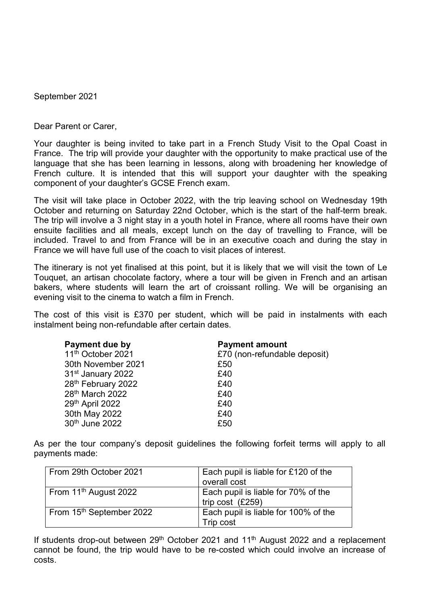September 2021

Dear Parent or Carer,

Your daughter is being invited to take part in a French Study Visit to the Opal Coast in France. The trip will provide your daughter with the opportunity to make practical use of the language that she has been learning in lessons, along with broadening her knowledge of French culture. It is intended that this will support your daughter with the speaking component of your daughter's GCSE French exam.

The visit will take place in October 2022, with the trip leaving school on Wednesday 19th October and returning on Saturday 22nd October, which is the start of the half-term break. The trip will involve a 3 night stay in a youth hotel in France, where all rooms have their own ensuite facilities and all meals, except lunch on the day of travelling to France, will be included. Travel to and from France will be in an executive coach and during the stay in France we will have full use of the coach to visit places of interest.

The itinerary is not yet finalised at this point, but it is likely that we will visit the town of Le Touquet, an artisan chocolate factory, where a tour will be given in French and an artisan bakers, where students will learn the art of croissant rolling. We will be organising an evening visit to the cinema to watch a film in French.

The cost of this visit is £370 per student, which will be paid in instalments with each instalment being non-refundable after certain dates.

| Payment due by                | <b>Payment amount</b>        |
|-------------------------------|------------------------------|
| 11 <sup>th</sup> October 2021 | £70 (non-refundable deposit) |
| 30th November 2021            | £50                          |
| 31 <sup>st</sup> January 2022 | £40                          |
| 28th February 2022            | £40                          |
| 28 <sup>th</sup> March 2022   | £40                          |
| 29th April 2022               | £40                          |
| 30th May 2022                 | £40                          |
| 30th June 2022                | £50                          |

As per the tour company's deposit guidelines the following forfeit terms will apply to all payments made:

| From 29th October 2021            | Each pupil is liable for £120 of the<br>overall cost      |
|-----------------------------------|-----------------------------------------------------------|
| From 11 <sup>th</sup> August 2022 | Each pupil is liable for 70% of the<br>trip cost $(E259)$ |
| From 15th September 2022          | Each pupil is liable for 100% of the<br>Trip cost         |

If students drop-out between  $29<sup>th</sup>$  October 2021 and 11<sup>th</sup> August 2022 and a replacement cannot be found, the trip would have to be re-costed which could involve an increase of costs.